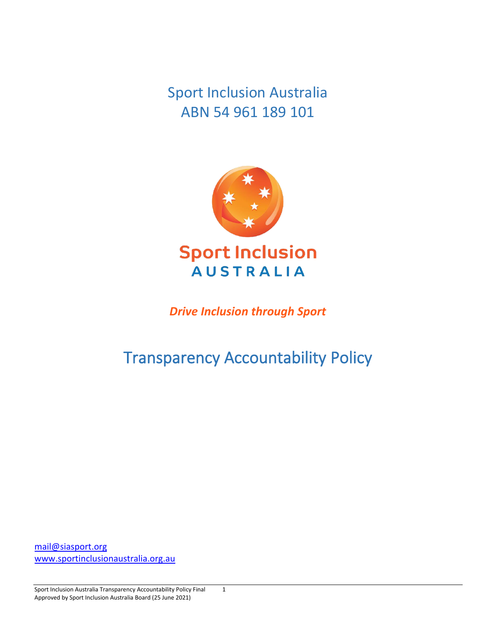Sport Inclusion Australia ABN 54 961 189 101



*Drive Inclusion through Sport*

# Transparency Accountability Policy

[mail@siasport.org](mailto:mail@siasport.org) [www.sportinclusionaustralia.org.au](http://www.sportinclusionaustralia.org.au/)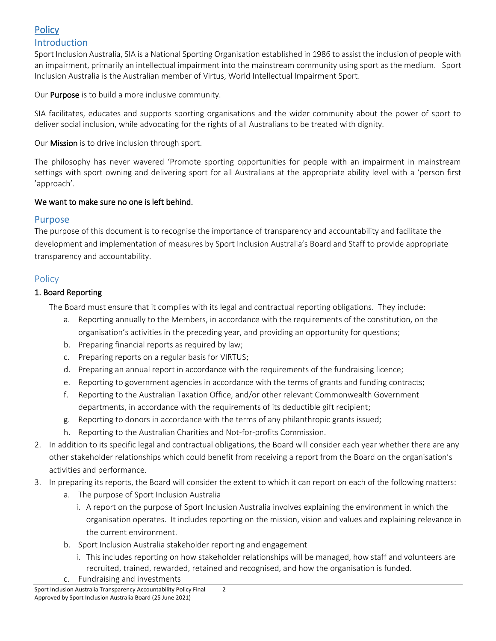# **Policy**

#### Introduction

Sport Inclusion Australia, SIA is a National Sporting Organisation established in 1986 to assist the inclusion of people with an impairment, primarily an intellectual impairment into the mainstream community using sport as the medium. Sport Inclusion Australia is the Australian member of Virtus, World Intellectual Impairment Sport.

Our Purpose is to build a more inclusive community.

SIA facilitates, educates and supports sporting organisations and the wider community about the power of sport to deliver social inclusion, while advocating for the rights of all Australians to be treated with dignity.

Our Mission is to drive inclusion through sport.

The philosophy has never wavered 'Promote sporting opportunities for people with an impairment in mainstream settings with sport owning and delivering sport for all Australians at the appropriate ability level with a 'person first 'approach'.

#### We want to make sure no one is left behind.

### Purpose

The purpose of this document is to recognise the importance of transparency and accountability and facilitate the development and implementation of measures by Sport Inclusion Australia's Board and Staff to provide appropriate transparency and accountability.

## **Policy**

#### 1. Board Reporting

The Board must ensure that it complies with its legal and contractual reporting obligations. They include:

- a. Reporting annually to the Members, in accordance with the requirements of the constitution, on the organisation's activities in the preceding year, and providing an opportunity for questions;
- b. Preparing financial reports as required by law;
- c. Preparing reports on a regular basis for VIRTUS;
- d. Preparing an annual report in accordance with the requirements of the fundraising licence;
- e. Reporting to government agencies in accordance with the terms of grants and funding contracts;
- f. Reporting to the Australian Taxation Office, and/or other relevant Commonwealth Government departments, in accordance with the requirements of its deductible gift recipient;
- g. Reporting to donors in accordance with the terms of any philanthropic grants issued;
- h. Reporting to the Australian Charities and Not-for-profits Commission.
- 2. In addition to its specific legal and contractual obligations, the Board will consider each year whether there are any other stakeholder relationships which could benefit from receiving a report from the Board on the organisation's activities and performance.
- 3. In preparing its reports, the Board will consider the extent to which it can report on each of the following matters:
	- a. The purpose of Sport Inclusion Australia
		- i. A report on the purpose of Sport Inclusion Australia involves explaining the environment in which the organisation operates. It includes reporting on the mission, vision and values and explaining relevance in the current environment.
	- b. Sport Inclusion Australia stakeholder reporting and engagement
		- i. This includes reporting on how stakeholder relationships will be managed, how staff and volunteers are recruited, trained, rewarded, retained and recognised, and how the organisation is funded.
	- c. Fundraising and investments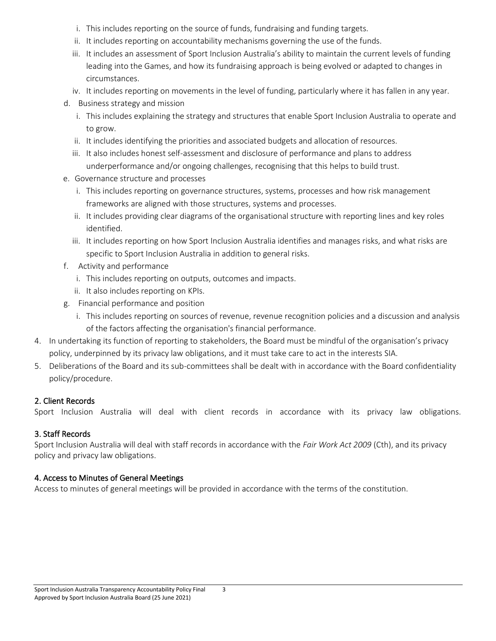- i. This includes reporting on the source of funds, fundraising and funding targets.
- ii. It includes reporting on accountability mechanisms governing the use of the funds.
- iii. It includes an assessment of Sport Inclusion Australia's ability to maintain the current levels of funding leading into the Games, and how its fundraising approach is being evolved or adapted to changes in circumstances.
- iv. It includes reporting on movements in the level of funding, particularly where it has fallen in any year.
- d. Business strategy and mission
	- i. This includes explaining the strategy and structures that enable Sport Inclusion Australia to operate and to grow.
	- ii. It includes identifying the priorities and associated budgets and allocation of resources.
	- iii. It also includes honest self-assessment and disclosure of performance and plans to address underperformance and/or ongoing challenges, recognising that this helps to build trust.
- e. Governance structure and processes
	- i. This includes reporting on governance structures, systems, processes and how risk management frameworks are aligned with those structures, systems and processes.
	- ii. It includes providing clear diagrams of the organisational structure with reporting lines and key roles identified.
	- iii. It includes reporting on how Sport Inclusion Australia identifies and manages risks, and what risks are specific to Sport Inclusion Australia in addition to general risks.
- f. Activity and performance
	- i. This includes reporting on outputs, outcomes and impacts.
	- ii. It also includes reporting on KPIs.
- g. Financial performance and position
	- i. This includes reporting on sources of revenue, revenue recognition policies and a discussion and analysis of the factors affecting the organisation's financial performance.
- 4. In undertaking its function of reporting to stakeholders, the Board must be mindful of the organisation's privacy policy, underpinned by its privacy law obligations, and it must take care to act in the interests SIA.
- 5. Deliberations of the Board and its sub-committees shall be dealt with in accordance with the Board confidentiality policy/procedure.

#### 2. Client Records

Sport Inclusion Australia will deal with client records in accordance with its privacy law obligations.

#### 3. Staff Records

Sport Inclusion Australia will deal with staff records in accordance with the *Fair Work Act 2009* (Cth), and its privacy policy and privacy law obligations.

#### 4. Access to Minutes of General Meetings

Access to minutes of general meetings will be provided in accordance with the terms of the constitution.